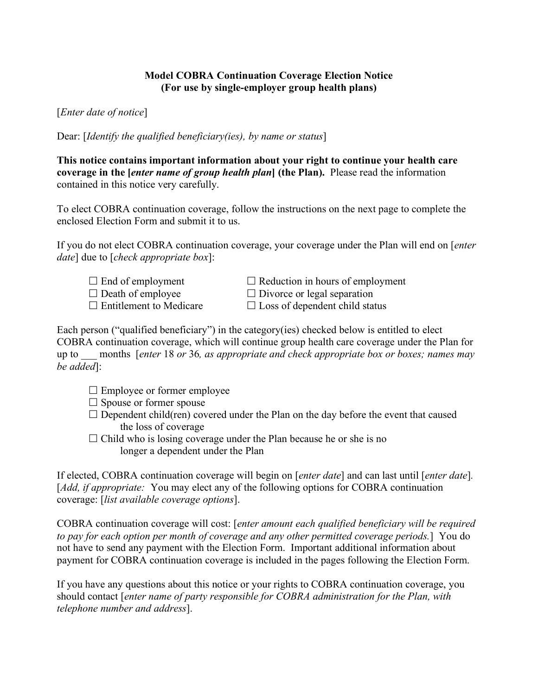# **Model COBRA Continuation Coverage Election Notice (For use by single-employer group health plans)**

[*Enter date of notice*]

Dear: [*Identify the qualified beneficiary(ies), by name or status*]

**This notice contains important information about your right to continue your health care coverage in the [***enter name of group health plan***] (the Plan).** Please read the information contained in this notice very carefully.

To elect COBRA continuation coverage, follow the instructions on the next page to complete the enclosed Election Form and submit it to us.

If you do not elect COBRA continuation coverage, your coverage under the Plan will end on [*enter date*] due to [*check appropriate box*]:

- 
- 
- 
- $\Box$  End of employment  $\Box$  Reduction in hours of employment

 $\square$  Death of employee  $\square$  Divorce or legal separation

 $\Box$  Entitlement to Medicare  $\Box$  Loss of dependent child status

Each person ("qualified beneficiary") in the category(ies) checked below is entitled to elect COBRA continuation coverage, which will continue group health care coverage under the Plan for up to \_\_\_ months [*enter* 18 *or* 36*, as appropriate and check appropriate box or boxes; names may be added*]:

- $\square$  Employee or former employee
- $\square$  Spouse or former spouse
- $\Box$  Dependent child(ren) covered under the Plan on the day before the event that caused the loss of coverage
- $\Box$  Child who is losing coverage under the Plan because he or she is no longer a dependent under the Plan

If elected, COBRA continuation coverage will begin on [*enter date*] and can last until [*enter date*]*.* [*Add, if appropriate:* You may elect any of the following options for COBRA continuation coverage: [*list available coverage options*].

COBRA continuation coverage will cost: [*enter amount each qualified beneficiary will be required to pay for each option per month of coverage and any other permitted coverage periods.*] You do not have to send any payment with the Election Form. Important additional information about payment for COBRA continuation coverage is included in the pages following the Election Form.

If you have any questions about this notice or your rights to COBRA continuation coverage, you should contact [*enter name of party responsible for COBRA administration for the Plan, with telephone number and address*].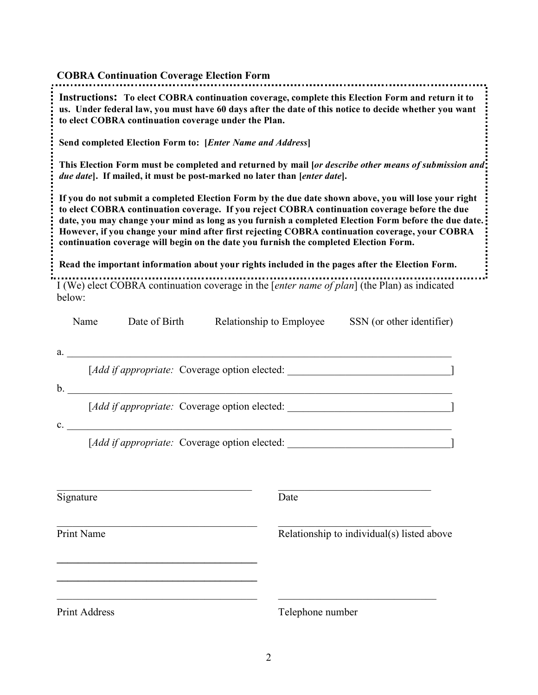| <b>COBRA Continuation Coverage Election Form</b>                                                                                                                                                                                                                                                                                                                                                                                                                                                                                                                                                                                                                                                                                                                                                                                                               |                                            |                                                                                                                 |                                                    |
|----------------------------------------------------------------------------------------------------------------------------------------------------------------------------------------------------------------------------------------------------------------------------------------------------------------------------------------------------------------------------------------------------------------------------------------------------------------------------------------------------------------------------------------------------------------------------------------------------------------------------------------------------------------------------------------------------------------------------------------------------------------------------------------------------------------------------------------------------------------|--------------------------------------------|-----------------------------------------------------------------------------------------------------------------|----------------------------------------------------|
| Instructions: To elect COBRA continuation coverage, complete this Election Form and return it to<br>us. Under federal law, you must have 60 days after the date of this notice to decide whether you want<br>to elect COBRA continuation coverage under the Plan.                                                                                                                                                                                                                                                                                                                                                                                                                                                                                                                                                                                              |                                            |                                                                                                                 |                                                    |
| Send completed Election Form to: [Enter Name and Address]<br>This Election Form must be completed and returned by mail [or describe other means of submission and:<br>due date]. If mailed, it must be post-marked no later than [enter date].<br>If you do not submit a completed Election Form by the due date shown above, you will lose your right<br>to elect COBRA continuation coverage. If you reject COBRA continuation coverage before the due<br>date, you may change your mind as long as you furnish a completed Election Form before the due date.<br>However, if you change your mind after first rejecting COBRA continuation coverage, your COBRA<br>continuation coverage will begin on the date you furnish the completed Election Form.<br>Read the important information about your rights included in the pages after the Election Form. |                                            |                                                                                                                 |                                                    |
|                                                                                                                                                                                                                                                                                                                                                                                                                                                                                                                                                                                                                                                                                                                                                                                                                                                                |                                            | I (We) elect COBRA continuation coverage in the [ <i>enter name of plan</i> ] (the Plan) as indicated<br>below: |                                                    |
|                                                                                                                                                                                                                                                                                                                                                                                                                                                                                                                                                                                                                                                                                                                                                                                                                                                                |                                            | Date of Birth<br>Name                                                                                           | Relationship to Employee SSN (or other identifier) |
|                                                                                                                                                                                                                                                                                                                                                                                                                                                                                                                                                                                                                                                                                                                                                                                                                                                                |                                            | a.                                                                                                              |                                                    |
| [Add if appropriate: Coverage option elected: ___________________________________<br>$\mathbf{b}$ .                                                                                                                                                                                                                                                                                                                                                                                                                                                                                                                                                                                                                                                                                                                                                            |                                            |                                                                                                                 |                                                    |
| [Add if appropriate: Coverage option elected: __________________________________<br>c.                                                                                                                                                                                                                                                                                                                                                                                                                                                                                                                                                                                                                                                                                                                                                                         |                                            |                                                                                                                 |                                                    |
| [Add if appropriate: Coverage option elected: __________________________________                                                                                                                                                                                                                                                                                                                                                                                                                                                                                                                                                                                                                                                                                                                                                                               |                                            |                                                                                                                 |                                                    |
| Signature                                                                                                                                                                                                                                                                                                                                                                                                                                                                                                                                                                                                                                                                                                                                                                                                                                                      | Date                                       |                                                                                                                 |                                                    |
|                                                                                                                                                                                                                                                                                                                                                                                                                                                                                                                                                                                                                                                                                                                                                                                                                                                                |                                            |                                                                                                                 |                                                    |
| Print Name                                                                                                                                                                                                                                                                                                                                                                                                                                                                                                                                                                                                                                                                                                                                                                                                                                                     | Relationship to individual(s) listed above |                                                                                                                 |                                                    |
| <b>Print Address</b>                                                                                                                                                                                                                                                                                                                                                                                                                                                                                                                                                                                                                                                                                                                                                                                                                                           | Telephone number                           |                                                                                                                 |                                                    |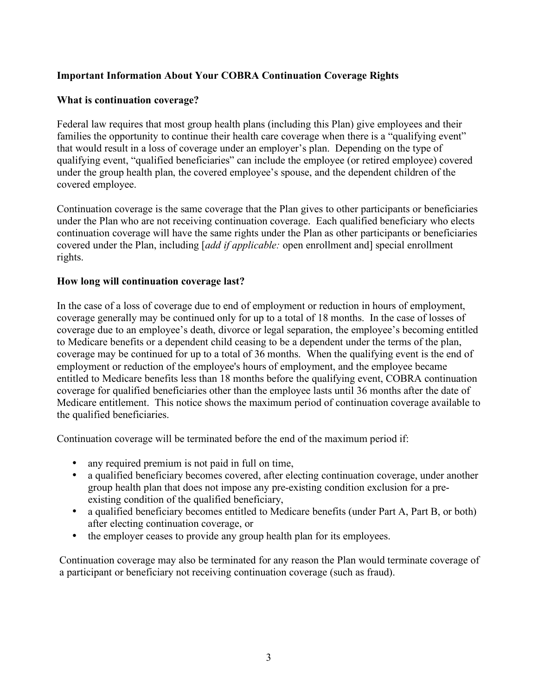# **Important Information About Your COBRA Continuation Coverage Rights**

## **What is continuation coverage?**

Federal law requires that most group health plans (including this Plan) give employees and their families the opportunity to continue their health care coverage when there is a "qualifying event" that would result in a loss of coverage under an employer's plan. Depending on the type of qualifying event, "qualified beneficiaries" can include the employee (or retired employee) covered under the group health plan, the covered employee's spouse, and the dependent children of the covered employee.

Continuation coverage is the same coverage that the Plan gives to other participants or beneficiaries under the Plan who are not receiving continuation coverage. Each qualified beneficiary who elects continuation coverage will have the same rights under the Plan as other participants or beneficiaries covered under the Plan, including [*add if applicable:* open enrollment and] special enrollment rights.

#### **How long will continuation coverage last?**

In the case of a loss of coverage due to end of employment or reduction in hours of employment, coverage generally may be continued only for up to a total of 18 months. In the case of losses of coverage due to an employee's death, divorce or legal separation, the employee's becoming entitled to Medicare benefits or a dependent child ceasing to be a dependent under the terms of the plan, coverage may be continued for up to a total of 36 months. When the qualifying event is the end of employment or reduction of the employee's hours of employment, and the employee became entitled to Medicare benefits less than 18 months before the qualifying event, COBRA continuation coverage for qualified beneficiaries other than the employee lasts until 36 months after the date of Medicare entitlement. This notice shows the maximum period of continuation coverage available to the qualified beneficiaries.

Continuation coverage will be terminated before the end of the maximum period if:

- any required premium is not paid in full on time,
- a qualified beneficiary becomes covered, after electing continuation coverage, under another group health plan that does not impose any pre-existing condition exclusion for a preexisting condition of the qualified beneficiary,
- a qualified beneficiary becomes entitled to Medicare benefits (under Part A, Part B, or both) after electing continuation coverage, or
- the employer ceases to provide any group health plan for its employees.

Continuation coverage may also be terminated for any reason the Plan would terminate coverage of a participant or beneficiary not receiving continuation coverage (such as fraud).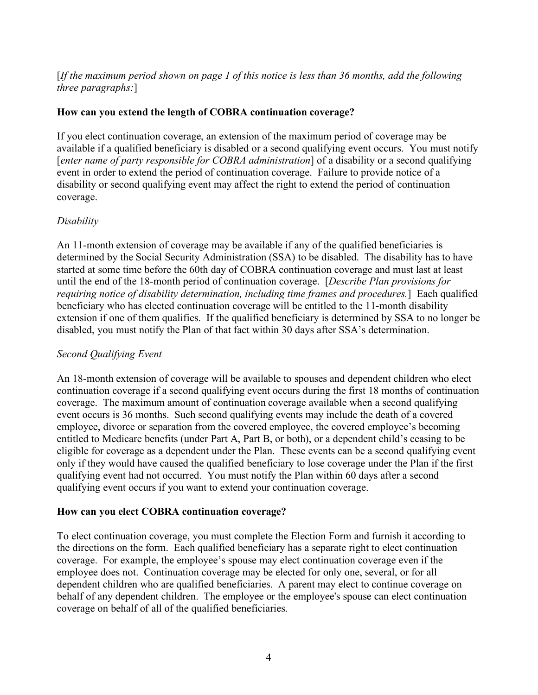[*If the maximum period shown on page 1 of this notice is less than 36 months, add the following three paragraphs:*]

## **How can you extend the length of COBRA continuation coverage?**

If you elect continuation coverage, an extension of the maximum period of coverage may be available if a qualified beneficiary is disabled or a second qualifying event occurs. You must notify [*enter name of party responsible for COBRA administration*] of a disability or a second qualifying event in order to extend the period of continuation coverage. Failure to provide notice of a disability or second qualifying event may affect the right to extend the period of continuation coverage.

# *Disability*

An 11-month extension of coverage may be available if any of the qualified beneficiaries is determined by the Social Security Administration (SSA) to be disabled. The disability has to have started at some time before the 60th day of COBRA continuation coverage and must last at least until the end of the 18-month period of continuation coverage. [*Describe Plan provisions for requiring notice of disability determination, including time frames and procedures.*] Each qualified beneficiary who has elected continuation coverage will be entitled to the 11-month disability extension if one of them qualifies. If the qualified beneficiary is determined by SSA to no longer be disabled, you must notify the Plan of that fact within 30 days after SSA's determination.

# *Second Qualifying Event*

An 18-month extension of coverage will be available to spouses and dependent children who elect continuation coverage if a second qualifying event occurs during the first 18 months of continuation coverage. The maximum amount of continuation coverage available when a second qualifying event occurs is 36 months. Such second qualifying events may include the death of a covered employee, divorce or separation from the covered employee, the covered employee's becoming entitled to Medicare benefits (under Part A, Part B, or both), or a dependent child's ceasing to be eligible for coverage as a dependent under the Plan. These events can be a second qualifying event only if they would have caused the qualified beneficiary to lose coverage under the Plan if the first qualifying event had not occurred. You must notify the Plan within 60 days after a second qualifying event occurs if you want to extend your continuation coverage.

## **How can you elect COBRA continuation coverage?**

To elect continuation coverage, you must complete the Election Form and furnish it according to the directions on the form. Each qualified beneficiary has a separate right to elect continuation coverage. For example, the employee's spouse may elect continuation coverage even if the employee does not. Continuation coverage may be elected for only one, several, or for all dependent children who are qualified beneficiaries. A parent may elect to continue coverage on behalf of any dependent children. The employee or the employee's spouse can elect continuation coverage on behalf of all of the qualified beneficiaries.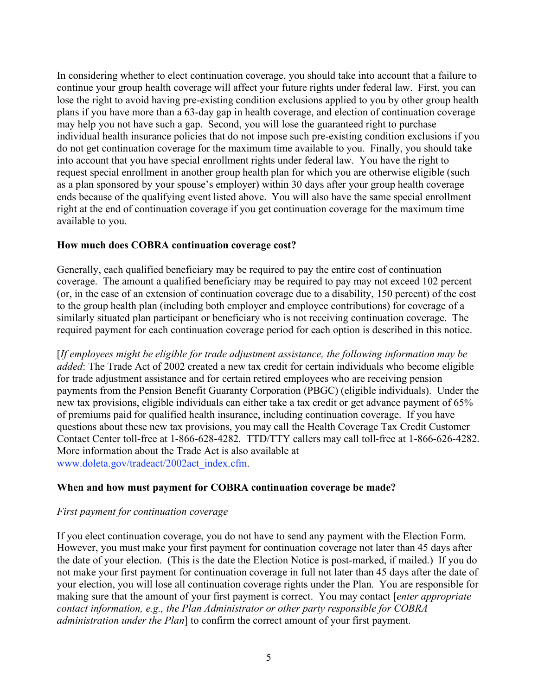In considering whether to elect continuation coverage, you should take into account that a failure to continue your group health coverage will affect your future rights under federal law. First, you can lose the right to avoid having pre-existing condition exclusions applied to you by other group health plans if you have more than a 63-day gap in health coverage, and election of continuation coverage may help you not have such a gap. Second, you will lose the guaranteed right to purchase individual health insurance policies that do not impose such pre-existing condition exclusions if you do not get continuation coverage for the maximum time available to you. Finally, you should take into account that you have special enrollment rights under federal law. You have the right to request special enrollment in another group health plan for which you are otherwise eligible (such as a plan sponsored by your spouse's employer) within 30 days after your group health coverage ends because of the qualifying event listed above. You will also have the same special enrollment right at the end of continuation coverage if you get continuation coverage for the maximum time available to you.

### **How much does COBRA continuation coverage cost?**

Generally, each qualified beneficiary may be required to pay the entire cost of continuation coverage. The amount a qualified beneficiary may be required to pay may not exceed 102 percent (or, in the case of an extension of continuation coverage due to a disability, 150 percent) of the cost to the group health plan (including both employer and employee contributions) for coverage of a similarly situated plan participant or beneficiary who is not receiving continuation coverage. The required payment for each continuation coverage period for each option is described in this notice.

[*If employees might be eligible for trade adjustment assistance, the following information may be added*: The Trade Act of 2002 created a new tax credit for certain individuals who become eligible for trade adjustment assistance and for certain retired employees who are receiving pension payments from the Pension Benefit Guaranty Corporation (PBGC) (eligible individuals). Under the new tax provisions, eligible individuals can either take a tax credit or get advance payment of 65% of premiums paid for qualified health insurance, including continuation coverage. If you have questions about these new tax provisions, you may call the Health Coverage Tax Credit Customer Contact Center toll-free at 1-866-628-4282. TTD/TTY callers may call toll-free at 1-866-626-4282. More information about the Trade Act is also available at www.doleta.gov/tradeact/2002act\_index.cfm.

## **When and how must payment for COBRA continuation coverage be made?**

#### *First payment for continuation coverage*

If you elect continuation coverage, you do not have to send any payment with the Election Form. However, you must make your first payment for continuation coverage not later than 45 days after the date of your election. (This is the date the Election Notice is post-marked, if mailed.) If you do not make your first payment for continuation coverage in full not later than 45 days after the date of your election, you will lose all continuation coverage rights under the Plan. You are responsible for making sure that the amount of your first payment is correct. You may contact [*enter appropriate contact information, e.g., the Plan Administrator or other party responsible for COBRA administration under the Plan*] to confirm the correct amount of your first payment.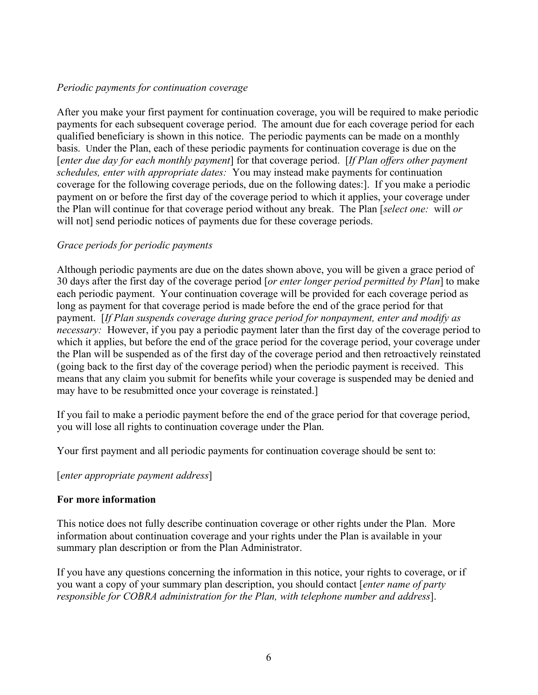### *Periodic payments for continuation coverage*

After you make your first payment for continuation coverage, you will be required to make periodic payments for each subsequent coverage period. The amount due for each coverage period for each qualified beneficiary is shown in this notice. The periodic payments can be made on a monthly basis. Under the Plan, each of these periodic payments for continuation coverage is due on the [*enter due day for each monthly payment*] for that coverage period. [*If Plan offers other payment schedules, enter with appropriate dates:* You may instead make payments for continuation coverage for the following coverage periods, due on the following dates:]. If you make a periodic payment on or before the first day of the coverage period to which it applies, your coverage under the Plan will continue for that coverage period without any break. The Plan [*select one:* will *or* will not] send periodic notices of payments due for these coverage periods.

### *Grace periods for periodic payments*

Although periodic payments are due on the dates shown above, you will be given a grace period of 30 days after the first day of the coverage period [*or enter longer period permitted by Plan*] to make each periodic payment. Your continuation coverage will be provided for each coverage period as long as payment for that coverage period is made before the end of the grace period for that payment. [*If Plan suspends coverage during grace period for nonpayment, enter and modify as necessary:* However, if you pay a periodic payment later than the first day of the coverage period to which it applies, but before the end of the grace period for the coverage period, your coverage under the Plan will be suspended as of the first day of the coverage period and then retroactively reinstated (going back to the first day of the coverage period) when the periodic payment is received. This means that any claim you submit for benefits while your coverage is suspended may be denied and may have to be resubmitted once your coverage is reinstated.]

If you fail to make a periodic payment before the end of the grace period for that coverage period, you will lose all rights to continuation coverage under the Plan.

Your first payment and all periodic payments for continuation coverage should be sent to:

[*enter appropriate payment address*]

## **For more information**

This notice does not fully describe continuation coverage or other rights under the Plan. More information about continuation coverage and your rights under the Plan is available in your summary plan description or from the Plan Administrator.

If you have any questions concerning the information in this notice, your rights to coverage, or if you want a copy of your summary plan description, you should contact [*enter name of party responsible for COBRA administration for the Plan, with telephone number and address*].